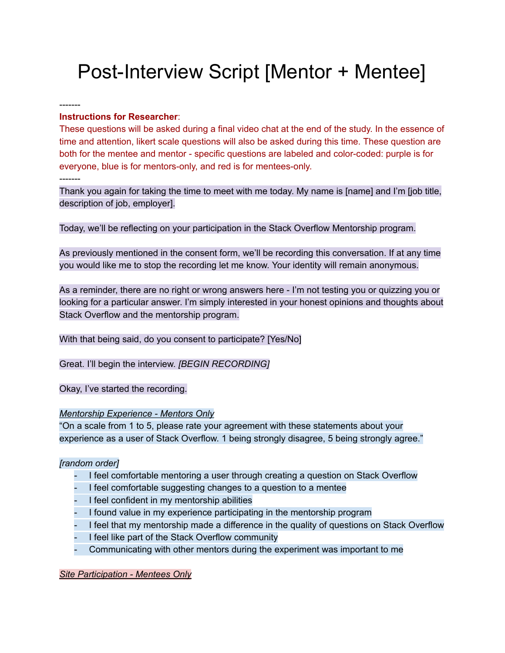# Post-Interview Script [Mentor + Mentee]

-------

### **Instructions for Researcher**:

These questions will be asked during a final video chat at the end of the study. In the essence of time and attention, likert scale questions will also be asked during this time. These question are both for the mentee and mentor - specific questions are labeled and color-coded: purple is for everyone, blue is for mentors-only, and red is for mentees-only. -------

Thank you again for taking the time to meet with me today. My name is [name] and I'm [job title, description of job, employer].

Today, we'll be reflecting on your participation in the Stack Overflow Mentorship program.

As previously mentioned in the consent form, we'll be recording this conversation. If at any time you would like me to stop the recording let me know. Your identity will remain anonymous.

As a reminder, there are no right or wrong answers here - I'm not testing you or quizzing you or looking for a particular answer. I'm simply interested in your honest opinions and thoughts about Stack Overflow and the mentorship program.

With that being said, do you consent to participate? [Yes/No]

Great. I'll begin the interview. *[BEGIN RECORDING]*

Okay, I've started the recording.

#### *Mentorship Experience Mentors Only*

"On a scale from 1 to 5, please rate your agreement with these statements about your experience as a user of Stack Overflow. 1 being strongly disagree, 5 being strongly agree."

#### *[random order]*

- I feel comfortable mentoring a user through creating a question on Stack Overflow
- I feel comfortable suggesting changes to a question to a mentee
- I feel confident in my mentorship abilities
- I found value in my experience participating in the mentorship program
- I feel that my mentorship made a difference in the quality of questions on Stack Overflow
- I feel like part of the Stack Overflow community
- Communicating with other mentors during the experiment was important to me

*Site Participation Mentees Only*